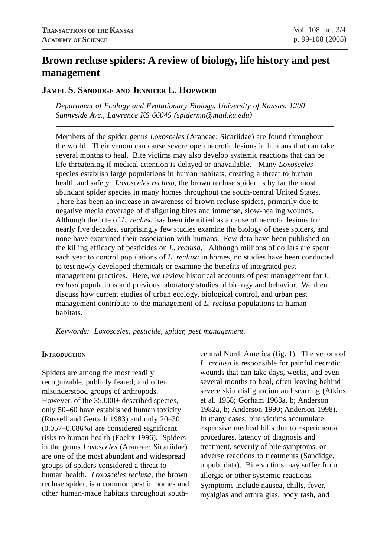# **Brown recluse spiders: A review of biology, life history and pest management**

**JAMEL S. SANDIDGE AND JENNIFER L. HOPWOOD**

*Department of Ecology and Evolutionary Biology, University of Kansas, 1200 Sunnyside Ave., Lawrence KS 66045 (spidermn@mail.ku.edu)*

Members of the spider genus *Loxosceles* (Araneae: Sicariidae) are found throughout the world. Their venom can cause severe open necrotic lesions in humans that can take several months to heal. Bite victims may also develop systemic reactions that can be life-threatening if medical attention is delayed or unavailable. Many *Loxosceles* species establish large populations in human habitats, creating a threat to human health and safety. *Loxosceles reclusa*, the brown recluse spider, is by far the most abundant spider species in many homes throughout the south-central United States. There has been an increase in awareness of brown recluse spiders, primarily due to negative media coverage of disfiguring bites and immense, slow-healing wounds. Although the bite of *L. reclusa* has been identified as a cause of necrotic lesions for nearly five decades, surprisingly few studies examine the biology of these spiders, and none have examined their association with humans. Few data have been published on the killing efficacy of pesticides on *L. reclusa*. Although millions of dollars are spent each year to control populations of *L. reclusa* in homes, no studies have been conducted to test newly developed chemicals or examine the benefits of integrated pest management practices. Here, we review historical accounts of pest management for *L. reclusa* populations and previous laboratory studies of biology and behavior. We then discuss how current studies of urban ecology, biological control, and urban pest management contribute to the management of *L. reclusa* populations in human habitats.

*Keywords: Loxosceles, pesticide, spider, pest management.*

# **INTRODUCTION**

Spiders are among the most readily recognizable, publicly feared, and often misunderstood groups of arthropods. However, of the 35,000+ described species, only 50–60 have established human toxicity (Russell and Gertsch 1983) and only 20–30 (0.057–0.086%) are considered significant risks to human health (Foelix 1996). Spiders in the genus *Loxosceles* (Araneae: Sicariidae) are one of the most abundant and widespread groups of spiders considered a threat to human health. *Loxosceles reclusa,* the brown recluse spider, is a common pest in homes and other human-made habitats throughout southcentral North America (fig. 1). The venom of *L. reclusa* is responsible for painful necrotic wounds that can take days, weeks, and even several months to heal, often leaving behind severe skin disfiguration and scarring (Atkins et al. 1958; Gorham 1968a, b; Anderson 1982a, b; Anderson 1990; Anderson 1998). In many cases, bite victims accumulate expensive medical bills due to experimental procedures, latency of diagnosis and treatment, severity of bite symptoms, or adverse reactions to treatments (Sandidge, unpub. data). Bite victims may suffer from allergic or other systemic reactions. Symptoms include nausea, chills, fever, myalgias and arthralgias, body rash, and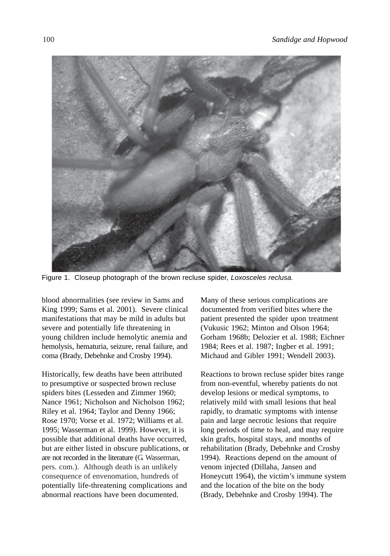

Figure 1. Closeup photograph of the brown recluse spider, Loxosceles reclusa.

blood abnormalities (see review in Sams and King 1999; Sams et al. 2001). Severe clinical manifestations that may be mild in adults but severe and potentially life threatening in young children include hemolytic anemia and hemolysis, hematuria, seizure, renal failure, and coma (Brady, Debehnke and Crosby 1994).

Historically, few deaths have been attributed to presumptive or suspected brown recluse spiders bites (Lesseden and Zimmer 1960; Nance 1961; Nicholson and Nicholson 1962; Riley et al. 1964; Taylor and Denny 1966; Rose 1970; Vorse et al. 1972; Williams et al. 1995; Wasserman et al. 1999). However, it is possible that additional deaths have occurred, but are either listed in obscure publications, or are not recorded in the literature (G. Wasserman, pers. com.). Although death is an unlikely consequence of envenomation, hundreds of potentially life-threatening complications and abnormal reactions have been documented.

Many of these serious complications are documented from verified bites where the patient presented the spider upon treatment (Vukusic 1962; Minton and Olson 1964; Gorham 1968b; Delozier et al. 1988; Eichner 1984; Rees et al. 1987; Ingber et al. 1991; Michaud and Gibler 1991; Wendell 2003).

Reactions to brown recluse spider bites range from non-eventful, whereby patients do not develop lesions or medical symptoms, to relatively mild with small lesions that heal rapidly, to dramatic symptoms with intense pain and large necrotic lesions that require long periods of time to heal, and may require skin grafts, hospital stays, and months of rehabilitation (Brady, Debehnke and Crosby 1994). Reactions depend on the amount of venom injected (Dillaha, Jansen and Honeycutt 1964), the victim's immune system and the location of the bite on the body (Brady, Debehnke and Crosby 1994). The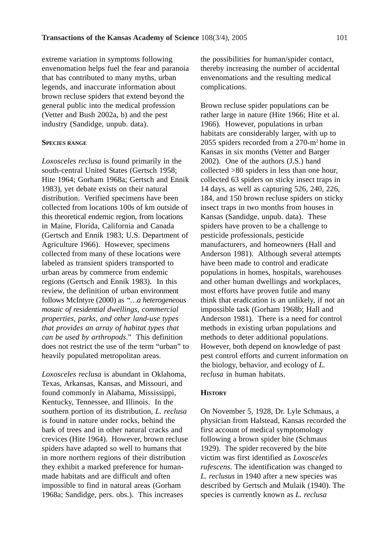extreme variation in symptoms following envenomation helps fuel the fear and paranoia that has contributed to many myths, urban legends, and inaccurate information about brown recluse spiders that extend beyond the general public into the medical profession (Vetter and Bush 2002a, b) and the pest industry (Sandidge, unpub. data).

#### **SPECIES RANGE**

*Loxosceles reclusa* is found primarily in the south-central United States (Gertsch 1958; Hite 1964; Gorham 1968a; Gertsch and Ennik 1983), yet debate exists on their natural distribution. Verified specimens have been collected from locations 100s of km outside of this theoretical endemic region, from locations in Maine, Florida, California and Canada (Gertsch and Ennik 1983; U.S. Department of Agriculture 1966). However, specimens collected from many of these locations were labeled as transient spiders transported to urban areas by commerce from endemic regions (Gertsch and Ennik 1983). In this review, the definition of urban environment follows McIntyre (2000) as *"…a heterogeneous mosaic of residential dwellings, commercial properties, parks, and other land-use types that provides an array of habitat types that can be used by arthropods*." This definition does not restrict the use of the term "urban" to heavily populated metropolitan areas.

*Loxosceles reclusa* is abundant in Oklahoma, Texas, Arkansas, Kansas, and Missouri, and found commonly in Alabama, Mississippi, Kentucky, Tennessee, and Illinois. In the southern portion of its distribution, *L. reclusa* is found in nature under rocks, behind the bark of trees and in other natural cracks and crevices (Hite 1964). However, brown recluse spiders have adapted so well to humans that in more northern regions of their distribution they exhibit a marked preference for humanmade habitats and are difficult and often impossible to find in natural areas (Gorham 1968a; Sandidge, pers. obs.). This increases

the possibilities for human/spider contact, thereby increasing the number of accidental envenomations and the resulting medical complications.

Brown recluse spider populations can be rather large in nature (Hite 1966; Hite et al. 1966). However, populations in urban habitats are considerably larger, with up to 2055 spiders recorded from a 270-m2 home in Kansas in six months (Vetter and Barger 2002). One of the authors (J.S.) hand collected >80 spiders in less than one hour, collected 63 spiders on sticky insect traps in 14 days, as well as capturing 526, 240, 226, 184, and 150 brown recluse spiders on sticky insect traps in two months from houses in Kansas (Sandidge, unpub. data). These spiders have proven to be a challenge to pesticide professionals, pesticide manufacturers, and homeowners (Hall and Anderson 1981). Although several attempts have been made to control and eradicate populations in homes, hospitals, warehouses and other human dwellings and workplaces, most efforts have proven futile and many think that eradication is an unlikely, if not an impossible task (Gorham 1968b; Hall and Anderson 1981). There is a need for control methods in existing urban populations and methods to deter additional populations. However, both depend on knowledge of past pest control efforts and current information on the biology, behavior, and ecology of *L. reclusa* in human habitats.

#### **HISTORY**

On November 5, 1928, Dr. Lyle Schmaus, a physician from Halstead, Kansas recorded the first account of medical symptomology following a brown spider bite (Schmaus 1929). The spider recovered by the bite victim was first identified as *Loxosceles rufescens*. The identification was changed to *L. reclusus* in 1940 after a new species was described by Gertsch and Mulaik (1940). The species is currently known as *L. reclusa*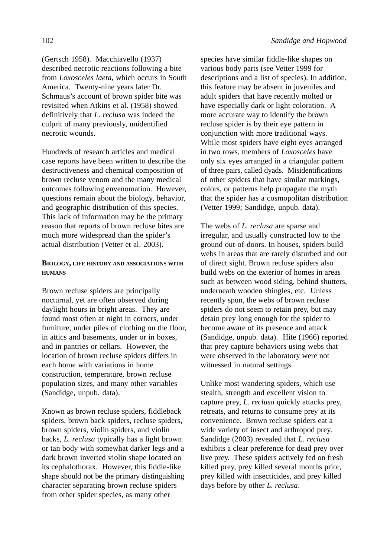(Gertsch 1958). Macchiavello (1937) described necrotic reactions following a bite from *Loxosceles laeta*, which occurs in South America. Twenty-nine years later Dr. Schmaus's account of brown spider bite was revisited when Atkins et al. (1958) showed definitively that *L. reclusa* was indeed the culprit of many previously, unidentified necrotic wounds.

Hundreds of research articles and medical case reports have been written to describe the destructiveness and chemical composition of brown recluse venom and the many medical outcomes following envenomation. However, questions remain about the biology, behavior, and geographic distribution of this species. This lack of information may be the primary reason that reports of brown recluse bites are much more widespread than the spider's actual distribution (Vetter et al. 2003).

## **BIOLOGY, LIFE HISTORY AND ASSOCIATIONS WITH HUMANS**

Brown recluse spiders are principally nocturnal, yet are often observed during daylight hours in bright areas. They are found most often at night in corners, under furniture, under piles of clothing on the floor, in attics and basements, under or in boxes, and in pantries or cellars. However, the location of brown recluse spiders differs in each home with variations in home construction, temperature, brown recluse population sizes, and many other variables (Sandidge, unpub. data).

Known as brown recluse spiders, fiddleback spiders, brown back spiders, recluse spiders, brown spiders, violin spiders, and violin backs, *L. reclusa* typically has a light brown or tan body with somewhat darker legs and a dark brown inverted violin shape located on its cephalothorax. However, this fiddle-like shape should not be the primary distinguishing character separating brown recluse spiders from other spider species, as many other

species have similar fiddle-like shapes on various body parts (see Vetter 1999 for descriptions and a list of species). In addition, this feature may be absent in juveniles and adult spiders that have recently molted or have especially dark or light coloration. A more accurate way to identify the brown recluse spider is by their eye pattern in conjunction with more traditional ways. While most spiders have eight eyes arranged in two rows, members of *Loxosceles* have only six eyes arranged in a triangular pattern of three pairs, called dyads. Misidentifications of other spiders that have similar markings, colors, or patterns help propagate the myth that the spider has a cosmopolitan distribution (Vetter 1999; Sandidge, unpub. data).

The webs of *L. reclusa* are sparse and irregular, and usually constructed low to the ground out-of-doors. In houses, spiders build webs in areas that are rarely disturbed and out of direct sight. Brown recluse spiders also build webs on the exterior of homes in areas such as between wood siding, behind shutters, underneath wooden shingles, etc. Unless recently spun, the webs of brown recluse spiders do not seem to retain prey, but may detain prey long enough for the spider to become aware of its presence and attack (Sandidge, unpub. data). Hite (1966) reported that prey capture behaviors using webs that were observed in the laboratory were not witnessed in natural settings.

Unlike most wandering spiders, which use stealth, strength and excellent vision to capture prey, *L. reclusa* quickly attacks prey, retreats, and returns to consume prey at its convenience. Brown recluse spiders eat a wide variety of insect and arthropod prey. Sandidge (2003) revealed that *L. reclusa* exhibits a clear preference for dead prey over live prey. These spiders actively fed on fresh killed prey, prey killed several months prior, prey killed with insecticides, and prey killed days before by other *L. reclusa*.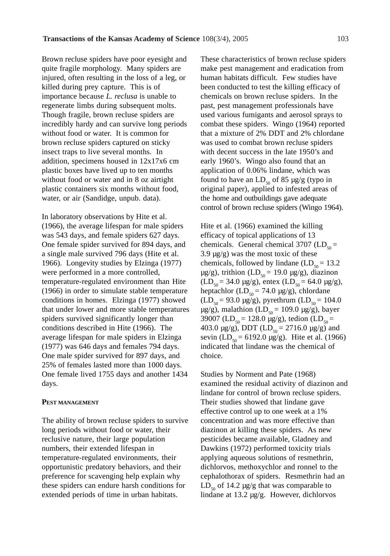Brown recluse spiders have poor eyesight and quite fragile morphology. Many spiders are injured, often resulting in the loss of a leg, or killed during prey capture. This is of importance because *L. reclusa* is unable to regenerate limbs during subsequent molts. Though fragile, brown recluse spiders are incredibly hardy and can survive long periods without food or water. It is common for brown recluse spiders captured on sticky insect traps to live several months. In addition, specimens housed in 12x17x6 cm plastic boxes have lived up to ten months without food or water and in 8 oz airtight plastic containers six months without food, water, or air (Sandidge, unpub. data).

In laboratory observations by Hite et al. (1966), the average lifespan for male spiders was 543 days, and female spiders 627 days. One female spider survived for 894 days, and a single male survived 796 days (Hite et al. 1966). Longevity studies by Elzinga (1977) were performed in a more controlled, temperature-regulated environment than Hite (1966) in order to simulate stable temperature conditions in homes. Elzinga (1977) showed that under lower and more stable temperatures spiders survived significantly longer than conditions described in Hite (1966). The average lifespan for male spiders in Elzinga (1977) was 646 days and females 794 days. One male spider survived for 897 days, and 25% of females lasted more than 1000 days. One female lived 1755 days and another 1434 days.

### **PEST MANAGEMENT**

The ability of brown recluse spiders to survive long periods without food or water, their reclusive nature, their large population numbers, their extended lifespan in temperature-regulated environments, their opportunistic predatory behaviors, and their preference for scavenging help explain why these spiders can endure harsh conditions for extended periods of time in urban habitats.

These characteristics of brown recluse spiders make pest management and eradication from human habitats difficult. Few studies have been conducted to test the killing efficacy of chemicals on brown recluse spiders. In the past, pest management professionals have used various fumigants and aerosol sprays to combat these spiders. Wingo (1964) reported that a mixture of 2% DDT and 2% chlordane was used to combat brown recluse spiders with decent success in the late 1950's and early 1960's. Wingo also found that an application of 0.06% lindane, which was found to have an  $LD_{50}$  of 85  $\mu$ g/g (typo in original paper), applied to infested areas of the home and outbuildings gave adequate control of brown recluse spiders (Wingo 1964).

Hite et al. (1966) examined the killing efficacy of topical applications of 13 chemicals. General chemical 3707 ( $LD_{so} =$ 3.9  $\mu$ g/g) was the most toxic of these chemicals, followed by lindane  $(LD_{50} = 13.2)$  $\mu$ g/g), trithion (LD<sub>50</sub> = 19.0  $\mu$ g/g), diazinon  $(LD_{50} = 34.0 \text{ µg/g})$ , entex  $(LD_{50} = 64.0 \text{ µg/g})$ , heptachlor (LD<sub>50</sub> = 74.0 µg/g), chlordane  $(LD_{50} = 93.0 \text{ µg/g})$ , pyrethrum  $(LD_{50} = 104.0 \text{ m})$  $\mu$ g/g), malathion (LD<sub>50</sub> = 109.0  $\mu$ g/g), bayer 39007 (LD<sub>50</sub> = 128.0 µg/g), tedion (LD<sub>50</sub> = 403.0  $\mu$ g/g), DDT (LD<sub>50</sub> = 2716.0  $\mu$ g/g) and sevin  $(LD_{50} = 6192.0 \text{ µg/g})$ . Hite et al. (1966) indicated that lindane was the chemical of choice.

Studies by Norment and Pate (1968) examined the residual activity of diazinon and lindane for control of brown recluse spiders. Their studies showed that lindane gave effective control up to one week at a 1% concentration and was more effective than diazinon at killing these spiders. As new pesticides became available, Gladney and Dawkins (1972) performed toxicity trials applying aqueous solutions of resmethrin, dichlorvos, methoxychlor and ronnel to the cephalothorax of spiders. Resmethrin had an  $LD_{50}$  of 14.2  $\mu$ g/g that was comparable to lindane at 13.2 µg/g. However, dichlorvos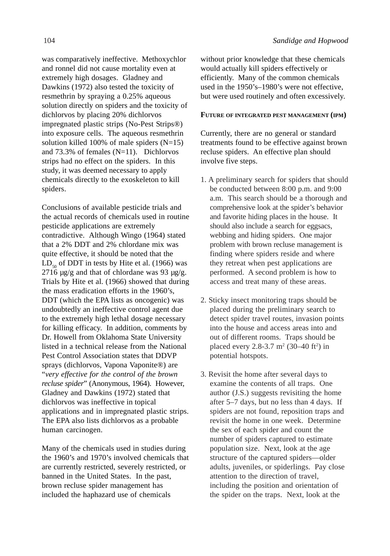was comparatively ineffective. Methoxychlor and ronnel did not cause mortality even at extremely high dosages. Gladney and Dawkins (1972) also tested the toxicity of resmethrin by spraying a 0.25% aqueous solution directly on spiders and the toxicity of dichlorvos by placing 20% dichlorvos impregnated plastic strips (No-Pest Strips®) into exposure cells. The aqueous resmethrin solution killed 100% of male spiders  $(N=15)$ and 73.3% of females (N=11). Dichlorvos strips had no effect on the spiders. In this study, it was deemed necessary to apply chemicals directly to the exoskeleton to kill spiders.

Conclusions of available pesticide trials and the actual records of chemicals used in routine pesticide applications are extremely contradictive. Although Wingo (1964) stated that a 2% DDT and 2% chlordane mix was quite effective, it should be noted that the  $LD_{50}$  of DDT in tests by Hite et al. (1966) was 2716  $\mu$ g/g and that of chlordane was 93  $\mu$ g/g. Trials by Hite et al. (1966) showed that during the mass eradication efforts in the 1960's, DDT (which the EPA lists as oncogenic) was undoubtedly an ineffective control agent due to the extremely high lethal dosage necessary for killing efficacy. In addition, comments by Dr. Howell from Oklahoma State University listed in a technical release from the National Pest Control Association states that DDVP sprays (dichlorvos, Vapona Vaponite®) are "*very effective for the control of the brown recluse spider*" (Anonymous, 1964). However, Gladney and Dawkins (1972) stated that dichlorvos was ineffective in topical applications and in impregnated plastic strips. The EPA also lists dichlorvos as a probable human carcinogen.

Many of the chemicals used in studies during the 1960's and 1970's involved chemicals that are currently restricted, severely restricted, or banned in the United States. In the past, brown recluse spider management has included the haphazard use of chemicals

without prior knowledge that these chemicals would actually kill spiders effectively or efficiently. Many of the common chemicals used in the 1950's–1980's were not effective, but were used routinely and often excessively.

#### **FUTURE OF INTEGRATED PEST MANAGEMENT (IPM)**

Currently, there are no general or standard treatments found to be effective against brown recluse spiders. An effective plan should involve five steps.

- 1. A preliminary search for spiders that should be conducted between 8:00 p.m. and 9:00 a.m. This search should be a thorough and comprehensive look at the spider's behavior and favorite hiding places in the house. It should also include a search for eggsacs, webbing and hiding spiders. One major problem with brown recluse management is finding where spiders reside and where they retreat when pest applications are performed. A second problem is how to access and treat many of these areas.
- 2. Sticky insect monitoring traps should be placed during the preliminary search to detect spider travel routes, invasion points into the house and access areas into and out of different rooms. Traps should be placed every 2.8-3.7  $m^2$  (30–40 ft<sup>2</sup>) in potential hotspots.
- 3. Revisit the home after several days to examine the contents of all traps. One author (J.S.) suggests revisiting the home after 5–7 days, but no less than 4 days. If spiders are not found, reposition traps and revisit the home in one week. Determine the sex of each spider and count the number of spiders captured to estimate population size. Next, look at the age structure of the captured spiders—older adults, juveniles, or spiderlings. Pay close attention to the direction of travel, including the position and orientation of the spider on the traps. Next, look at the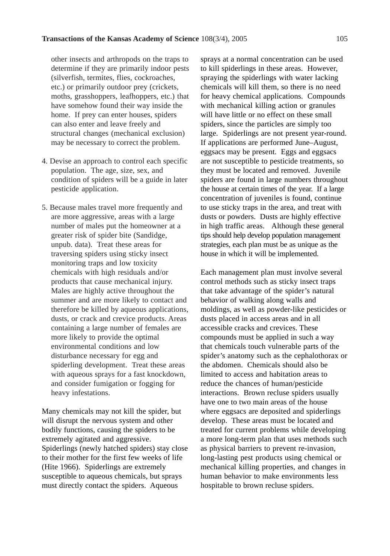other insects and arthropods on the traps to determine if they are primarily indoor pests (silverfish, termites, flies, cockroaches, etc.) or primarily outdoor prey (crickets, moths, grasshoppers, leafhoppers, etc.) that have somehow found their way inside the home. If prey can enter houses, spiders can also enter and leave freely and structural changes (mechanical exclusion) may be necessary to correct the problem.

- 4. Devise an approach to control each specific population. The age, size, sex, and condition of spiders will be a guide in later pesticide application.
- 5. Because males travel more frequently and are more aggressive, areas with a large number of males put the homeowner at a greater risk of spider bite (Sandidge, unpub. data). Treat these areas for traversing spiders using sticky insect monitoring traps and low toxicity chemicals with high residuals and/or products that cause mechanical injury. Males are highly active throughout the summer and are more likely to contact and therefore be killed by aqueous applications, dusts, or crack and crevice products. Areas containing a large number of females are more likely to provide the optimal environmental conditions and low disturbance necessary for egg and spiderling development. Treat these areas with aqueous sprays for a fast knockdown, and consider fumigation or fogging for heavy infestations.

Many chemicals may not kill the spider, but will disrupt the nervous system and other bodily functions, causing the spiders to be extremely agitated and aggressive. Spiderlings (newly hatched spiders) stay close to their mother for the first few weeks of life (Hite 1966). Spiderlings are extremely susceptible to aqueous chemicals, but sprays must directly contact the spiders. Aqueous

sprays at a normal concentration can be used to kill spiderlings in these areas. However, spraying the spiderlings with water lacking chemicals will kill them, so there is no need for heavy chemical applications. Compounds with mechanical killing action or granules will have little or no effect on these small spiders, since the particles are simply too large. Spiderlings are not present year-round. If applications are performed June–August, eggsacs may be present. Eggs and eggsacs are not susceptible to pesticide treatments, so they must be located and removed. Juvenile spiders are found in large numbers throughout the house at certain times of the year. If a large concentration of juveniles is found, continue to use sticky traps in the area, and treat with dusts or powders. Dusts are highly effective in high traffic areas. Although these general tips should help develop population management strategies, each plan must be as unique as the house in which it will be implemented.

Each management plan must involve several control methods such as sticky insect traps that take advantage of the spider's natural behavior of walking along walls and moldings, as well as powder-like pesticides or dusts placed in access areas and in all accessible cracks and crevices. These compounds must be applied in such a way that chemicals touch vulnerable parts of the spider's anatomy such as the cephalothorax or the abdomen. Chemicals should also be limited to access and habitation areas to reduce the chances of human/pesticide interactions. Brown recluse spiders usually have one to two main areas of the house where eggsacs are deposited and spiderlings develop. These areas must be located and treated for current problems while developing a more long-term plan that uses methods such as physical barriers to prevent re-invasion, long-lasting pest products using chemical or mechanical killing properties, and changes in human behavior to make environments less hospitable to brown recluse spiders.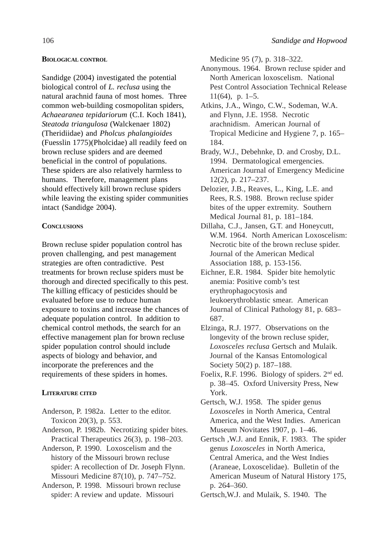## **BIOLOGICAL CONTROL**

Sandidge (2004) investigated the potential biological control of *L. reclusa* using the natural arachnid fauna of most homes. Three common web-building cosmopolitan spiders, *Achaearanea tepidariorum* (C.I. Koch 1841), *Steatoda triangulosa* (Walckenaer 1802) (Theridiidae) and *Pholcus phalangioides* (Fuesslin 1775)(Pholcidae) all readily feed on brown recluse spiders and are deemed beneficial in the control of populations. These spiders are also relatively harmless to humans. Therefore, management plans should effectively kill brown recluse spiders while leaving the existing spider communities intact (Sandidge 2004).

### **CONCLUSIONS**

Brown recluse spider population control has proven challenging, and pest management strategies are often contradictive. Pest treatments for brown recluse spiders must be thorough and directed specifically to this pest. The killing efficacy of pesticides should be evaluated before use to reduce human exposure to toxins and increase the chances of adequate population control. In addition to chemical control methods, the search for an effective management plan for brown recluse spider population control should include aspects of biology and behavior, and incorporate the preferences and the requirements of these spiders in homes.

## **LITERATURE CITED**

- Anderson, P. 1982a. Letter to the editor. Toxicon 20(3), p. 553.
- Anderson, P. 1982b. Necrotizing spider bites. Practical Therapeutics 26(3), p. 198–203.
- Anderson, P. 1990. Loxoscelism and the history of the Missouri brown recluse spider: A recollection of Dr. Joseph Flynn. Missouri Medicine 87(10), p. 747–752.
- Anderson, P. 1998. Missouri brown recluse spider: A review and update. Missouri

Medicine 95 (7), p. 318–322.

- Anonymous. 1964. Brown recluse spider and North American loxoscelism. National Pest Control Association Technical Release 11(64), p. 1–5.
- Atkins, J.A., Wingo, C.W., Sodeman, W.A. and Flynn, J.E. 1958. Necrotic arachnidism. American Journal of Tropical Medicine and Hygiene 7, p. 165– 184.
- Brady, W.J., Debehnke, D. and Crosby, D.L. 1994. Dermatological emergencies. American Journal of Emergency Medicine 12(2), p. 217–237.
- Delozier, J.B., Reaves, L., King, L.E. and Rees, R.S. 1988. Brown recluse spider bites of the upper extremity. Southern Medical Journal 81, p. 181–184.
- Dillaha, C.J., Jansen, G.T. and Honeycutt, W.M. 1964. North American Loxoscelism: Necrotic bite of the brown recluse spider. Journal of the American Medical Association 188, p. 153-156.
- Eichner, E.R. 1984. Spider bite hemolytic anemia: Positive comb's test erythrophagocytosis and leukoerythroblastic smear. American Journal of Clinical Pathology 81, p. 683– 687.
- Elzinga, R.J. 1977. Observations on the longevity of the brown recluse spider, *Loxosceles reclusa* Gertsch and Mulaik. Journal of the Kansas Entomological Society 50(2) p. 187–188.
- Foelix, R.F. 1996. Biology of spiders. 2nd ed. p. 38–45. Oxford University Press, New York.
- Gertsch, W.J. 1958. The spider genus *Loxosceles* in North America, Central America, and the West Indies. American Museum Novitates 1907, p. 1–46.
- Gertsch ,W.J. and Ennik, F. 1983. The spider genus *Loxosceles* in North America, Central America, and the West Indies (Araneae, Loxoscelidae). Bulletin of the American Museum of Natural History 175, p. 264–360.
- Gertsch,W.J. and Mulaik, S. 1940. The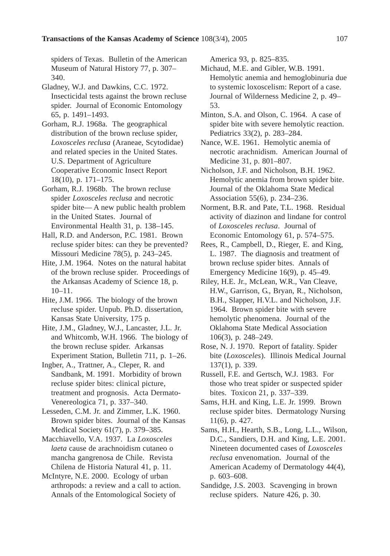spiders of Texas. Bulletin of the American Museum of Natural History 77, p. 307– 340.

- Gladney, W.J. and Dawkins, C.C. 1972. Insecticidal tests against the brown recluse spider. Journal of Economic Entomology 65, p. 1491–1493.
- Gorham, R.J. 1968a. The geographical distribution of the brown recluse spider, *Loxosceles reclusa* (Araneae, Scytodidae) and related species in the United States. U.S. Department of Agriculture Cooperative Economic Insect Report 18(10), p. 171–175.
- Gorham, R.J. 1968b. The brown recluse spider *Loxosceles reclusa* and necrotic spider bite— A new public health problem in the United States. Journal of Environmental Health 31, p. 138–145.
- Hall, R.D. and Anderson, P.C. 1981. Brown recluse spider bites: can they be prevented? Missouri Medicine 78(5), p. 243–245.
- Hite, J.M. 1964. Notes on the natural habitat of the brown recluse spider. Proceedings of the Arkansas Academy of Science 18, p. 10–11.
- Hite, J.M. 1966. The biology of the brown recluse spider. Unpub. Ph.D. dissertation, Kansas State University, 175 p.
- Hite, J.M., Gladney, W.J., Lancaster, J.L. Jr. and Whitcomb, W.H. 1966. The biology of the brown recluse spider. Arkansas Experiment Station, Bulletin 711, p. 1–26.
- Ingber, A., Trattner, A., Cleper, R. and Sandbank, M. 1991. Morbidity of brown recluse spider bites: clinical picture, treatment and prognosis. Acta Dermato-Venereologica 71, p. 337–340.
- Lesseden, C.M. Jr. and Zimmer, L.K. 1960. Brown spider bites. Journal of the Kansas Medical Society 61(7), p. 379–385.
- Macchiavello, V.A. 1937. La *Loxosceles laeta* cause de arachnoidism cutaneo o mancha gangrenosa de Chile. Revista Chilena de Historia Natural 41, p. 11.
- McIntyre, N.E. 2000. Ecology of urban arthropods: a review and a call to action. Annals of the Entomological Society of

America 93, p. 825–835.

- Michaud, M.E. and Gibler, W.B. 1991. Hemolytic anemia and hemoglobinuria due to systemic loxoscelism: Report of a case. Journal of Wilderness Medicine 2, p. 49– 53.
- Minton, S.A. and Olson, C. 1964. A case of spider bite with severe hemolytic reaction. Pediatrics 33(2), p. 283–284.
- Nance, W.E. 1961. Hemolytic anemia of necrotic arachnidism. American Journal of Medicine 31, p. 801–807.
- Nicholson, J.F. and Nicholson, B.H. 1962. Hemolytic anemia from brown spider bite. Journal of the Oklahoma State Medical Association 55(6), p. 234–236.
- Norment, B.R. and Pate, T.L. 1968. Residual activity of diazinon and lindane for control of *Loxosceles reclusa*. Journal of Economic Entomology 61, p. 574–575.
- Rees, R., Campbell, D., Rieger, E. and King, L. 1987. The diagnosis and treatment of brown recluse spider bites. Annals of Emergency Medicine 16(9), p. 45–49.
- Riley, H.E. Jr., McLean, W.R., Van Cleave, H.W., Garrison, G., Bryan, R., Nicholson, B.H., Slapper, H.V.L. and Nicholson, J.F. 1964. Brown spider bite with severe hemolytic phenomena. Journal of the Oklahoma State Medical Association 106(3), p. 248–249.
- Rose, N. J. 1970. Report of fatality. Spider bite (*Loxosceles*). Illinois Medical Journal 137(1), p. 339.
- Russell, F.E. and Gertsch, W.J. 1983. For those who treat spider or suspected spider bites. Toxicon 21, p. 337–339.
- Sams, H.H. and King, L.E. Jr. 1999. Brown recluse spider bites. Dermatology Nursing 11(6), p. 427.
- Sams, H.H., Hearth, S.B., Long, L.L., Wilson, D.C., Sandiers, D.H. and King, L.E. 2001. Nineteen documented cases of *Loxosceles reclusa* envenomation. Journal of the American Academy of Dermatology 44(4), p. 603–608.
- Sandidge, J.S. 2003. Scavenging in brown recluse spiders. Nature 426, p. 30.